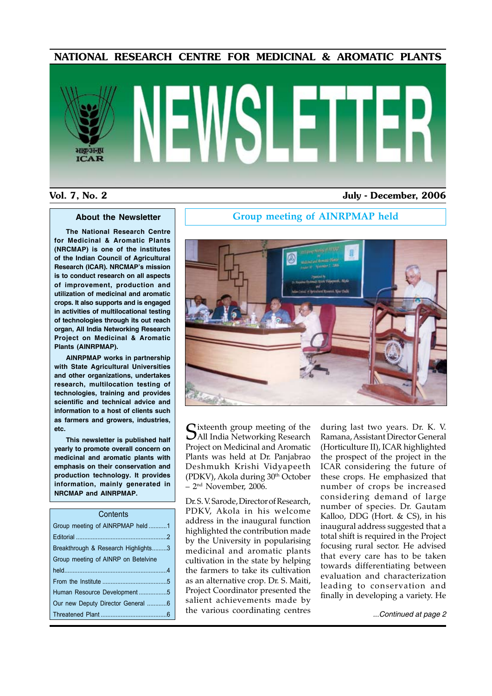### NATIONAL RESEARCH CENTRE FOR MEDICINAL & AROMATIC PLANTS

# **ICAR**

### Vol. 7, No. 2 July - December, 2006

### **About the Newsletter**

**The National Research Centre for Medicinal & Aromatic Plants (NRCMAP) is one of the institutes of the Indian Council of Agricultural Research (ICAR). NRCMAP's mission is to conduct research on all aspects of improvement, production and utilization of medicinal and aromatic crops. It also supports and is engaged in activities of multilocational testing of technologies through its out reach organ, All India Networking Research Project on Medicinal & Aromatic Plants (AINRPMAP).**

**AINRPMAP works in partnership with State Agricultural Universities and other organizations, undertakes research, multilocation testing of technologies, training and provides scientific and technical advice and information to a host of clients such as farmers and growers, industries, etc.**

**This newsletter is published half yearly to promote overall concern on medicinal and aromatic plants with emphasis on their conservation and production technology. It provides information, mainly generated in NRCMAP and AINRPMAP.**

| Contents                            |  |  |  |
|-------------------------------------|--|--|--|
| Group meeting of AINRPMAP held1     |  |  |  |
|                                     |  |  |  |
| Breakthrough & Research Highlights3 |  |  |  |
| Group meeting of AINRP on Betelvine |  |  |  |
|                                     |  |  |  |
|                                     |  |  |  |
| Human Resource Development5         |  |  |  |
| Our new Deputy Director General 6   |  |  |  |
|                                     |  |  |  |
|                                     |  |  |  |

### **Group meeting of AINRPMAP held**



Cixteenth group meeting of the All India Networking Research Project on Medicinal and Aromatic Plants was held at Dr. Panjabrao Deshmukh Krishi Vidyapeeth (PDKV), Akola during 30th October  $-2<sup>nd</sup>$  November, 2006.

Dr. S. V. Sarode, Director of Research, PDKV, Akola in his welcome address in the inaugural function highlighted the contribution made by the University in popularising medicinal and aromatic plants cultivation in the state by helping the farmers to take its cultivation as an alternative crop. Dr. S. Maiti, Project Coordinator presented the salient achievements made by the various coordinating centres

during last two years. Dr. K. V. Ramana, Assistant Director General (Horticulture II), ICAR highlighted the prospect of the project in the ICAR considering the future of these crops. He emphasized that number of crops be increased considering demand of large number of species. Dr. Gautam Kalloo, DDG (Hort. & CS), in his inaugural address suggested that a total shift is required in the Project focusing rural sector. He advised that every care has to be taken towards differentiating between evaluation and characterization leading to conservation and finally in developing a variety. He

*...Continued at page 2*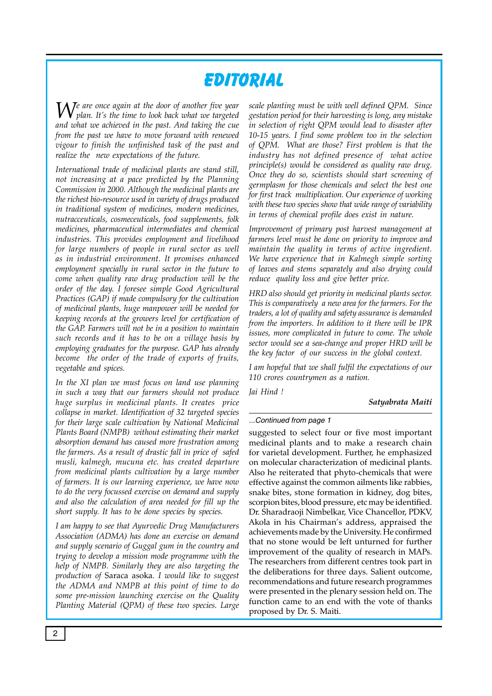# **Editorial**

We are once again at the door of another five year  $W_{\text{plan\;I}^{\prime}}$  is the time to 1 *plan. It's the time to look back what we targeted and what we achieved in the past. And taking the cue from the past we have to move forward with renewed vigour to finish the unfinished task of the past and realize the new expectations of the future.* 

*International trade of medicinal plants are stand still, not increasing at a pace predicted by the Planning Commission in 2000. Although the medicinal plants are the richest bio-resource used in variety of drugs produced in traditional system of medicines, modern medicines, nutracceuticals, cosmeceuticals, food supplements, folk medicines, pharmaceutical intermediates and chemical industries. This provides employment and livelihood for large numbers of people in rural sector as well as in industrial environment. It promises enhanced employment specially in rural sector in the future to come when quality raw drug production will be the order of the day. I foresee simple Good Agricultural Practices (GAP) if made compulsory for the cultivation of medicinal plants, huge manpower will be needed for keeping records at the growers level for certification of the GAP. Farmers will not be in a position to maintain such records and it has to be on a village basis by employing graduates for the purpose. GAP has already become the order of the trade of exports of fruits, vegetable and spices.* 

*In the XI plan we must focus on land use planning in such a way that our farmers should not produce huge surplus in medicinal plants. It creates price collapse in market. Identification of 32 targeted species for their large scale cultivation by National Medicinal Plants Board (NMPB) without estimating their market absorption demand has caused more frustration among the farmers. As a result of drastic fall in price of safed musli, kalmegh, mucuna etc. has created departure from medicinal plants cultivation by a large number of farmers. It is our learning experience, we have now to do the very focussed exercise on demand and supply and also the calculation of area needed for fill up the short supply. It has to be done species by species.*

*I am happy to see that Ayurvedic Drug Manufacturers Association (ADMA) has done an exercise on demand and supply scenario of Guggal gum in the country and trying to develop a mission mode programme with the help of NMPB. Similarly they are also targeting the production of* Saraca asoka*. I would like to suggest the ADMA and NMPB at this point of time to do some pre-mission launching exercise on the Quality Planting Material (QPM) of these two species. Large* 

*scale planting must be with well defined QPM. Since gestation period for their harvesting is long, any mistake in selection of right QPM would lead to disaster after 10-15 years. I find some problem too in the selection of QPM. What are those? First problem is that the industry has not defined presence of what active principle(s) would be considered as quality raw drug. Once they do so, scientists should start screening of germplasm for those chemicals and select the best one for first track multiplication. Our experience of working with these two species show that wide range of variability in terms of chemical profile does exist in nature.* 

*Improvement of primary post harvest management at farmers level must be done on priority to improve and maintain the quality in terms of active ingredient. We have experience that in Kalmegh simple sorting of leaves and stems separately and also drying could reduce quality loss and give better price.* 

*HRD also should get priority in medicinal plants sector. This is comparatively a new area for the farmers. For the traders, a lot of quality and safety assurance is demanded from the importers. In addition to it there will be IPR issues, more complicated in future to come. The whole sector would see a sea-change and proper HRD will be the key factor of our success in the global context.* 

*I am hopeful that we shall fulfil the expectations of our 110 crores countrymen as a nation.* 

*Jai Hind !*

### *Satyabrata Maiti*

### *...Continued from page 1*

suggested to select four or five most important medicinal plants and to make a research chain for varietal development. Further, he emphasized on molecular characterization of medicinal plants. Also he reiterated that phyto-chemicals that were effective against the common ailments like rabbies, snake bites, stone formation in kidney, dog bites, scorpion bites, blood pressure, etc may be identified. Dr. Sharadraoji Nimbelkar, Vice Chancellor, PDKV, Akola in his Chairman's address, appraised the achievements made by the University. He confirmed that no stone would be left unturned for further improvement of the quality of research in MAPs. The researchers from different centres took part in the deliberations for three days. Salient outcome, recommendations and future research programmes were presented in the plenary session held on. The function came to an end with the vote of thanks proposed by Dr. S. Maiti.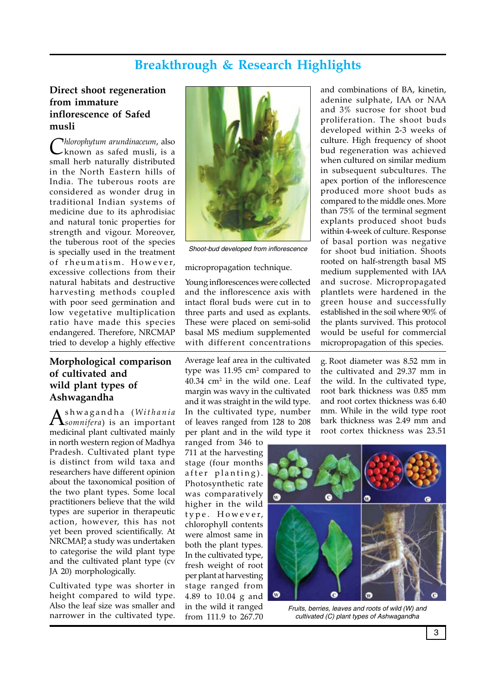## **Breakthrough & Research Highlights**

### **Direct shoot regeneration from immature inflorescence of Safed musli**

*Chlorophytum arundinaceum*, also known as safed musli, is a small herb naturally distributed in the North Eastern hills of India. The tuberous roots are considered as wonder drug in traditional Indian systems of medicine due to its aphrodisiac and natural tonic properties for strength and vigour. Moreover, the tuberous root of the species is specially used in the treatment of rheumatism. However, excessive collections from their natural habitats and destructive harvesting methods coupled with poor seed germination and low vegetative multiplication ratio have made this species endangered. Therefore, NRCMAP tried to develop a highly effective

### **Morphological comparison of cultivated and wild plant types of Ashwagandha**

As h w a g a n d h a ( *Wi t h a n i a somnifera*) is an important medicinal plant cultivated mainly in north western region of Madhya Pradesh. Cultivated plant type is distinct from wild taxa and researchers have different opinion about the taxonomical position of the two plant types. Some local practitioners believe that the wild types are superior in therapeutic action, however, this has not yet been proved scientifically. At NRCMAP, a study was undertaken to categorise the wild plant type and the cultivated plant type (cv JA 20) morphologically.

Cultivated type was shorter in height compared to wild type. Also the leaf size was smaller and narrower in the cultivated type.



Shoot-bud developed from inflorescence

### micropropagation technique.

Young inflorescences were collected and the inflorescence axis with intact floral buds were cut in to three parts and used as explants. These were placed on semi-solid basal MS medium supplemented with different concentrations

Average leaf area in the cultivated type was  $11.95 \text{ cm}^2$  compared to 40.34 cm2 in the wild one. Leaf margin was wavy in the cultivated and it was straight in the wild type. In the cultivated type, number of leaves ranged from 128 to 208 per plant and in the wild type it

ranged from 346 to 711 at the harvesting stage (four months after planting). Photosynthetic rate was comparatively higher in the wild type. However, chlorophyll contents were almost same in both the plant types. In the cultivated type, fresh weight of root per plant at harvesting stage ranged from 4.89 to 10.04 g and in the wild it ranged from 111.9 to 267.70

and combinations of BA, kinetin, adenine sulphate, IAA or NAA and 3% sucrose for shoot bud proliferation. The shoot buds developed within 2-3 weeks of culture. High frequency of shoot bud regeneration was achieved when cultured on similar medium in subsequent subcultures. The apex portion of the inflorescence produced more shoot buds as compared to the middle ones. More than 75% of the terminal segment explants produced shoot buds within 4-week of culture. Response of basal portion was negative for shoot bud initiation. Shoots rooted on half-strength basal MS medium supplemented with IAA and sucrose. Micropropagated plantlets were hardened in the green house and successfully established in the soil where 90% of the plants survived. This protocol would be useful for commercial micropropagation of this species.

g. Root diameter was 8.52 mm in the cultivated and 29.37 mm in the wild. In the cultivated type, root bark thickness was 0.85 mm and root cortex thickness was 6.40 mm. While in the wild type root bark thickness was 2.49 mm and root cortex thickness was 23.51



Fruits, berries, leaves and roots of wild (W) and cultivated (C) plant types of Ashwagandha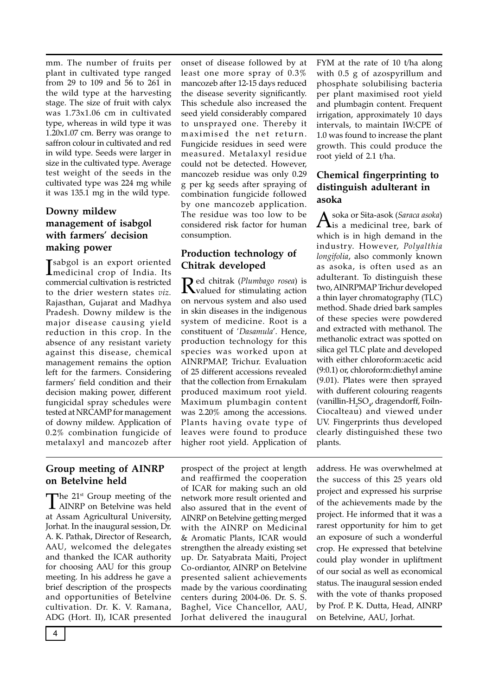mm. The number of fruits per plant in cultivated type ranged from 29 to 109 and 56 to 261 in the wild type at the harvesting stage. The size of fruit with calyx was 1.73x1.06 cm in cultivated type, whereas in wild type it was 1.20x1.07 cm. Berry was orange to saffron colour in cultivated and red in wild type. Seeds were larger in size in the cultivated type. Average test weight of the seeds in the cultivated type was 224 mg while it was 135.1 mg in the wild type.

### **Downy mildew management of isabgol with farmers' decision making power**

I sabgol is an export oriented medicinal crop of India. Its commercial cultivation is restricted to the drier western states *viz.* Rajasthan, Gujarat and Madhya Pradesh. Downy mildew is the major disease causing yield reduction in this crop. In the absence of any resistant variety against this disease, chemical management remains the option left for the farmers. Considering farmers' field condition and their decision making power, different fungicidal spray schedules were tested at NRCAMP for management of downy mildew. Application of 0.2% combination fungicide of metalaxyl and mancozeb after

onset of disease followed by at least one more spray of 0.3% mancozeb after 12-15 days reduced the disease severity significantly. This schedule also increased the seed yield considerably compared to unsprayed one. Thereby it maximised the net return. Fungicide residues in seed were measured. Metalaxyl residue could not be detected. However, mancozeb residue was only 0.29 g per kg seeds after spraying of combination fungicide followed by one mancozeb application. The residue was too low to be considered risk factor for human consumption.

### **Production technology of Chitrak developed**

Red chitrak (*Plumbago rosea*) is valued for stimulating action on nervous system and also used in skin diseases in the indigenous system of medicine. Root is a constituent of '*Dasamula*'. Hence, production technology for this species was worked upon at AINRPMAP, Trichur. Evaluation of 25 different accessions revealed that the collection from Ernakulam produced maximum root yield. Maximum plumbagin content was 2.20% among the accessions. Plants having ovate type of leaves were found to produce higher root yield. Application of FYM at the rate of 10 t/ha along with 0.5 g of azospyrillum and phosphate solubilising bacteria per plant maximised root yield and plumbagin content. Frequent irrigation, approximately 10 days intervals, to maintain IW:CPE of 1.0 was found to increase the plant growth. This could produce the root yield of 2.1 t/ha.

### **Chemical fingerprinting to distinguish adulterant in asoka**

Asoka or Sita-asok (*Saraca asoka*) is a medicinal tree, bark of which is in high demand in the industry. However, *Polyalthia longifolia*, also commonly known as asoka, is often used as an adulterant. To distinguish these two, AINRPMAP Trichur developed a thin layer chromatography (TLC) method. Shade dried bark samples of these species were powdered and extracted with methanol. The methanolic extract was spotted on silica gel TLC plate and developed with either chloroform:acetic acid (9:0.1) or, chloroform:diethyl amine (9.01). Plates were then sprayed with dufferent colouring reagents (vanillin-H<sub>2</sub>SO<sub>4</sub>, dragendorff, Foiln-Ciocalteau) and viewed under UV. Fingerprints thus developed clearly distinguished these two plants.

### **Group meeting of AINRP on Betelvine held**

The 21<sup>st</sup> Group meeting of the AINRP on Betelvine was held at Assam Agricultural University, Jorhat. In the inaugural session, Dr. A. K. Pathak, Director of Research, AAU, welcomed the delegates and thanked the ICAR authority for choosing AAU for this group meeting. In his address he gave a brief description of the prospects and opportunities of Betelvine cultivation. Dr. K. V. Ramana, ADG (Hort. II), ICAR presented

prospect of the project at length and reaffirmed the cooperation of ICAR for making such an old network more result oriented and also assured that in the event of AINRP on Betelvine getting merged with the AINRP on Medicinal & Aromatic Plants, ICAR would strengthen the already existing set up. Dr. Satyabrata Maiti, Project Co-ordiantor, AINRP on Betelvine presented salient achievements made by the various coordinating centers during 2004-06. Dr. S. S. Baghel, Vice Chancellor, AAU, Jorhat delivered the inaugural

address. He was overwhelmed at the success of this 25 years old project and expressed his surprise of the achievements made by the project. He informed that it was a rarest opportunity for him to get an exposure of such a wonderful crop. He expressed that betelvine could play wonder in upliftment of our social as well as economical status. The inaugural session ended with the vote of thanks proposed by Prof. P. K. Dutta, Head, AINRP on Betelvine, AAU, Jorhat.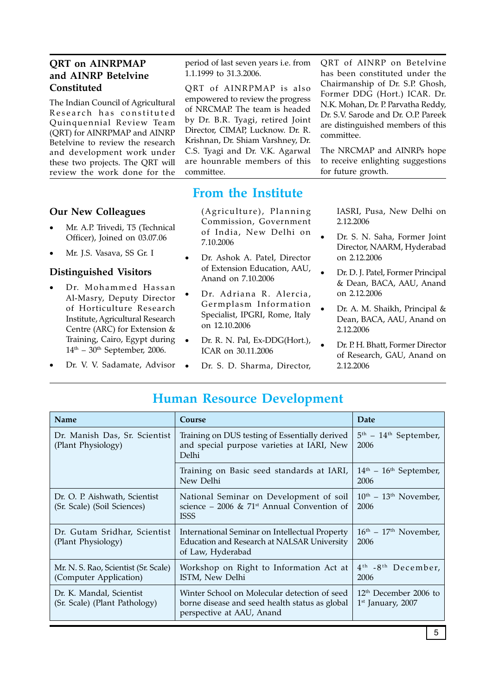### **QRT on AINRPMAP and AINRP Betelvine Constituted**

The Indian Council of Agricultural Research has constituted Quinquennial Review Team (QRT) for AINRPMAP and AINRP Betelvine to review the research and development work under these two projects. The QRT will review the work done for the

### **Our New Colleagues**

- Mr. A.P. Trivedi, T5 (Technical Officer), Joined on 03.07.06
- Mr. J.S. Vasava, SS Gr. I

### **Distinguished Visitors**

- Dr. Mohammed Hassan Al-Masry, Deputy Director of Horticulture Research Institute, Agricultural Research Centre (ARC) for Extension & Training, Cairo, Egypt during  $14<sup>th</sup>$  – 30<sup>th</sup> September, 2006.
- Dr. V. V. Sadamate, Advisor .

period of last seven years i.e. from 1.1.1999 to 31.3.2006.

QRT of AINRPMAP is also empowered to review the progress of NRCMAP. The team is headed by Dr. B.R. Tyagi, retired Joint Director, CIMAP, Lucknow. Dr. R. Krishnan, Dr. Shiam Varshney, Dr. C.S. Tyagi and Dr. V.K. Agarwal are hounrable members of this committee.

QRT of AINRP on Betelvine has been constituted under the Chairmanship of Dr. S.P. Ghosh, Former DDG (Hort.) ICAR. Dr. N.K. Mohan, Dr. P. Parvatha Reddy, Dr. S.V. Sarode and Dr. O.P. Pareek are distinguished members of this committee.

The NRCMAP and AINRPs hope to receive enlighting suggestions for future growth.

### **From the Institute**

(Agriculture), Planning Commission, Government of India, New Delhi on 7.10.2006

- Dr. Ashok A. Patel, Director of Extension Education, AAU, Anand on 7.10.2006
- Dr. Adriana R. Alercia, Germplasm Information Specialist, IPGRI, Rome, Italy on 12.10.2006
- Dr. R. N. Pal, Ex-DDG(Hort.), ICAR on 30.11.2006
	- Dr. S. D. Sharma, Director,

IASRI, Pusa, New Delhi on 2.12.2006

- Dr. S. N. Saha, Former Joint Director, NAARM, Hyderabad on 2.12.2006
- Dr. D. J. Patel, Former Principal & Dean, BACA, AAU, Anand on 2.12.2006
- Dr. A. M. Shaikh, Principal & Dean, BACA, AAU, Anand on 2.12.2006
- Dr. P. H. Bhatt, Former Director of Research, GAU, Anand on 2.12.2006

| <b>Name</b>                                                    | Course                                                                                                                      | Date                                               |
|----------------------------------------------------------------|-----------------------------------------------------------------------------------------------------------------------------|----------------------------------------------------|
| Dr. Manish Das, Sr. Scientist<br>(Plant Physiology)            | Training on DUS testing of Essentially derived<br>and special purpose varieties at IARI, New<br>Delhi                       | $5th$ – $14th$ September,<br>2006                  |
|                                                                | Training on Basic seed standards at IARI,<br>New Delhi                                                                      | $14th$ – $16th$ September,<br>2006                 |
| Dr. O. P. Aishwath, Scientist<br>(Sr. Scale) (Soil Sciences)   | National Seminar on Development of soil<br>science – 2006 & 71 <sup>st</sup> Annual Convention of<br><b>ISSS</b>            | $10^{th}$ – $13^{th}$ November,<br>2006            |
| Dr. Gutam Sridhar, Scientist<br>(Plant Physiology)             | International Seminar on Intellectual Property<br>Education and Research at NALSAR University<br>of Law, Hyderabad          | $16th - 17th$ November,<br>2006                    |
| Mr. N. S. Rao, Scientist (Sr. Scale)<br>(Computer Application) | Workshop on Right to Information Act at<br>ISTM, New Delhi                                                                  | 4 <sup>th</sup> -8 <sup>th</sup> December,<br>2006 |
| Dr. K. Mandal, Scientist<br>(Sr. Scale) (Plant Pathology)      | Winter School on Molecular detection of seed<br>borne disease and seed health status as global<br>perspective at AAU, Anand | $12th$ December 2006 to<br>$1st$ January, 2007     |

## **Human Resource Development**